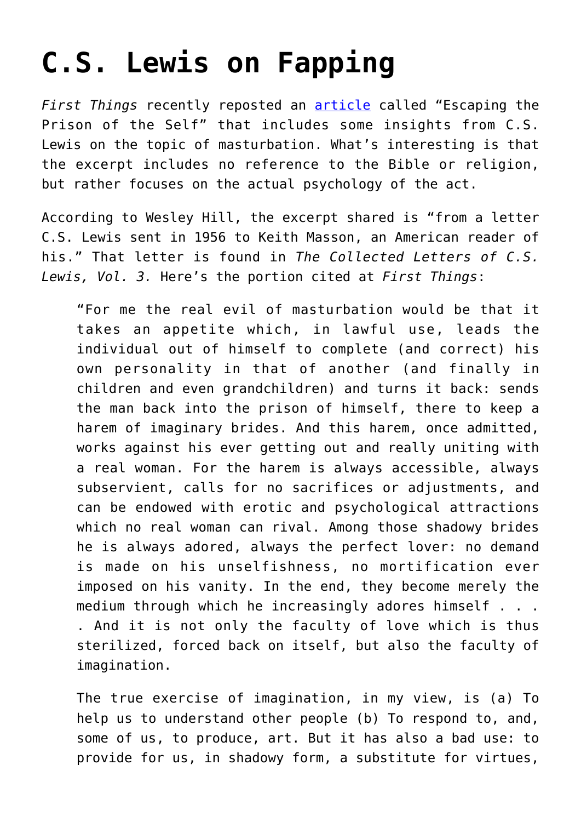## **[C.S. Lewis on Fapping](https://intellectualtakeout.org/2015/10/c-s-lewis-on-fapping/)**

*First Things* recently reposted an [article](http://www.firstthings.com/blogs/firstthoughts/2014/02/escaping-the-prison-of-the-self) called "Escaping the Prison of the Self" that includes some insights from C.S. Lewis on the topic of masturbation. What's interesting is that the excerpt includes no reference to the Bible or religion, but rather focuses on the actual psychology of the act.

According to Wesley Hill, the excerpt shared is "from a letter C.S. Lewis sent in 1956 to Keith Masson, an American reader of his." That letter is found in *The Collected Letters of C.S. Lewis, Vol. 3.* Here's the portion cited at *First Things*:

"For me the real evil of masturbation would be that it takes an appetite which, in lawful use, leads the individual out of himself to complete (and correct) his own personality in that of another (and finally in children and even grandchildren) and turns it back: sends the man back into the prison of himself, there to keep a harem of imaginary brides. And this harem, once admitted, works against his ever getting out and really uniting with a real woman. For the harem is always accessible, always subservient, calls for no sacrifices or adjustments, and can be endowed with erotic and psychological attractions which no real woman can rival. Among those shadowy brides he is always adored, always the perfect lover: no demand is made on his unselfishness, no mortification ever imposed on his vanity. In the end, they become merely the medium through which he increasingly adores himself . . . . And it is not only the faculty of love which is thus sterilized, forced back on itself, but also the faculty of imagination.

The true exercise of imagination, in my view, is (a) To help us to understand other people (b) To respond to, and, some of us, to produce, art. But it has also a bad use: to provide for us, in shadowy form, a substitute for virtues,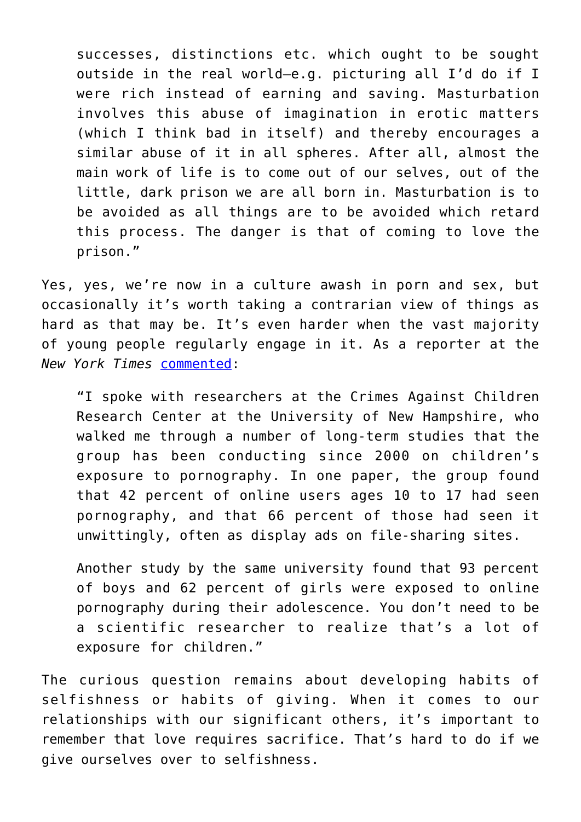successes, distinctions etc. which ought to be sought outside in the real world—e.g. picturing all I'd do if I were rich instead of earning and saving. Masturbation involves this abuse of imagination in erotic matters (which I think bad in itself) and thereby encourages a similar abuse of it in all spheres. After all, almost the main work of life is to come out of our selves, out of the little, dark prison we are all born in. Masturbation is to be avoided as all things are to be avoided which retard this process. The danger is that of coming to love the prison."

Yes, yes, we're now in a culture awash in porn and sex, but occasionally it's worth taking a contrarian view of things as hard as that may be. It's even harder when the vast majority of young people regularly engage in it. As a reporter at the *New York Times* [commented:](http://www.nytimes.com/2015/01/08/style/parenting-in-the-age-of-online-porn.html?_r=0)

"I spoke with researchers at the Crimes Against Children Research Center at the University of New Hampshire, who walked me through a number of long-term studies that the group has been conducting since 2000 on children's exposure to pornography. In one paper, the group found that 42 percent of online users ages 10 to 17 had seen pornography, and that 66 percent of those had seen it unwittingly, often as display ads on file-sharing sites.

Another study by the same university found that 93 percent of boys and 62 percent of girls were exposed to online pornography during their adolescence. You don't need to be a scientific researcher to realize that's a lot of exposure for children."

The curious question remains about developing habits of selfishness or habits of giving. When it comes to our relationships with our significant others, it's important to remember that love requires sacrifice. That's hard to do if we give ourselves over to selfishness.